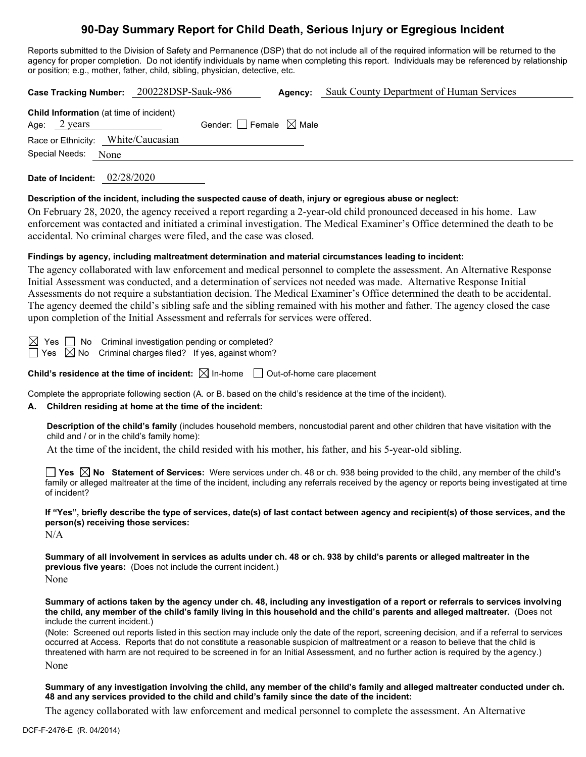# **90-Day Summary Report for Child Death, Serious Injury or Egregious Incident**

Reports submitted to the Division of Safety and Permanence (DSP) that do not include all of the required information will be returned to the agency for proper completion. Do not identify individuals by name when completing this report. Individuals may be referenced by relationship or position; e.g., mother, father, child, sibling, physician, detective, etc.

|                                                                          | Case Tracking Number: 200228DSP-Sauk-986 |                                 | Agency: | Sauk County Department of Human Services |
|--------------------------------------------------------------------------|------------------------------------------|---------------------------------|---------|------------------------------------------|
| <b>Child Information</b> (at time of incident)<br>Age: $2 \text{ years}$ |                                          | Gender: Female $\boxtimes$ Male |         |                                          |
| Race or Ethnicity: White/Caucasian                                       |                                          |                                 |         |                                          |
| Special Needs: None                                                      |                                          |                                 |         |                                          |
|                                                                          |                                          |                                 |         |                                          |

**Date of Incident:** 02/28/2020

#### **Description of the incident, including the suspected cause of death, injury or egregious abuse or neglect:**

On February 28, 2020, the agency received a report regarding a 2-year-old child pronounced deceased in his home. Law enforcement was contacted and initiated a criminal investigation. The Medical Examiner's Office determined the death to be accidental. No criminal charges were filed, and the case was closed.

#### **Findings by agency, including maltreatment determination and material circumstances leading to incident:**

The agency collaborated with law enforcement and medical personnel to complete the assessment. An Alternative Response Initial Assessment was conducted, and a determination of services not needed was made. Alternative Response Initial Assessments do not require a substantiation decision. The Medical Examiner's Office determined the death to be accidental. The agency deemed the child's sibling safe and the sibling remained with his mother and father. The agency closed the case upon completion of the Initial Assessment and referrals for services were offered.

 $\boxtimes$  Yes  $\Box$  No Criminal investigation pending or completed?  $\exists$  Yes  $\[\boxtimes$  No Criminal charges filed? If yes, against whom?

**Child's residence at the time of incident:**  $\boxtimes$  In-home  $\Box$  Out-of-home care placement

Complete the appropriate following section (A. or B. based on the child's residence at the time of the incident).

#### **A. Children residing at home at the time of the incident:**

**Description of the child's family** (includes household members, noncustodial parent and other children that have visitation with the child and / or in the child's family home):

At the time of the incident, the child resided with his mother, his father, and his 5-year-old sibling.

**Yes No Statement of Services:** Were services under ch. 48 or ch. 938 being provided to the child, any member of the child's family or alleged maltreater at the time of the incident, including any referrals received by the agency or reports being investigated at time of incident?

**If "Yes", briefly describe the type of services, date(s) of last contact between agency and recipient(s) of those services, and the person(s) receiving those services:**

 $N/A$ 

**Summary of all involvement in services as adults under ch. 48 or ch. 938 by child's parents or alleged maltreater in the previous five years:** (Does not include the current incident.)

None

**Summary of actions taken by the agency under ch. 48, including any investigation of a report or referrals to services involving the child, any member of the child's family living in this household and the child's parents and alleged maltreater.** (Does not include the current incident.)

(Note: Screened out reports listed in this section may include only the date of the report, screening decision, and if a referral to services occurred at Access. Reports that do not constitute a reasonable suspicion of maltreatment or a reason to believe that the child is threatened with harm are not required to be screened in for an Initial Assessment, and no further action is required by the agency.) None

**Summary of any investigation involving the child, any member of the child's family and alleged maltreater conducted under ch. 48 and any services provided to the child and child's family since the date of the incident:**

The agency collaborated with law enforcement and medical personnel to complete the assessment. An Alternative